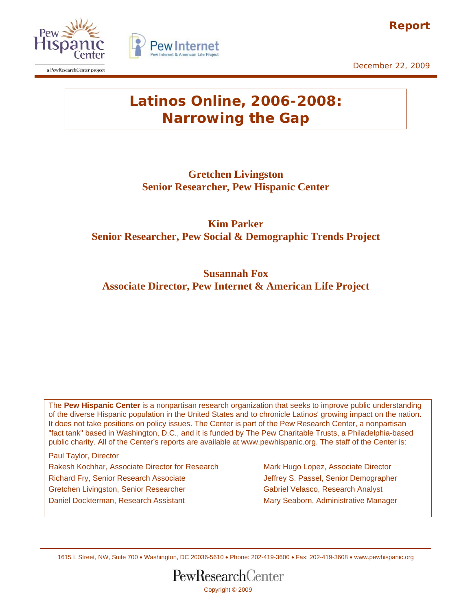

December 22, 2009

# **Latinos Online, 2006-2008: Narrowing the Gap**

Pew Interi

**Gretchen Livingston Senior Researcher, Pew Hispanic Center** 

**Kim Parker Senior Researcher, Pew Social & Demographic Trends Project** 

**Susannah Fox Associate Director, Pew Internet & American Life Project** 

The **Pew Hispanic Center** is a nonpartisan research organization that seeks to improve public understanding of the diverse Hispanic population in the United States and to chronicle Latinos' growing impact on the nation. It does not take positions on policy issues. The Center is part of the Pew Research Center, a nonpartisan "fact tank" based in Washington, D.C., and it is funded by The Pew Charitable Trusts, a Philadelphia-based public charity. All of the Center's reports are available at www.pewhispanic.org. The staff of the Center is:

Paul Taylor, Director Rakesh Kochhar, Associate Director for Research Mark Hugo Lopez, Associate Director Richard Fry, Senior Research Associate **Jeffrey S. Passel, Senior Demographer** Gretchen Livingston, Senior Researcher Gabriel Velasco, Research Analyst Daniel Dockterman, Research Assistant Mary Seaborn, Administrative Manager

1615 L Street, NW, Suite 700 • Washington, DC 20036-5610 • Phone: 202-419-3600 • Fax: 202-419-3608 • www.pewhispanic.org





a PewResearchCenter project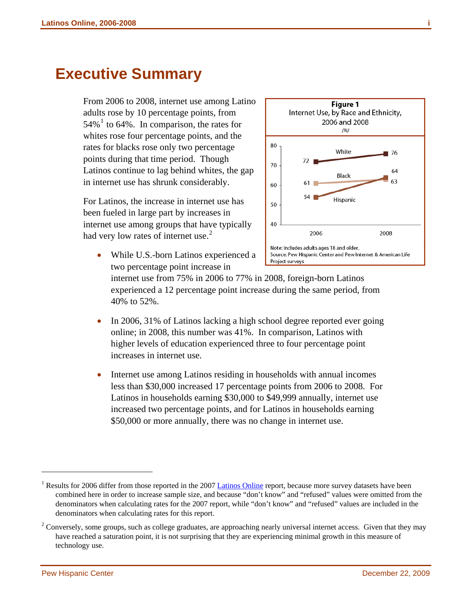# <span id="page-1-2"></span>**Executive Summary**

From 2006 to 2008, internet use among Latino adults rose by 10 percentage points, from  $54\%$ <sup>[1](#page-1-0)</sup> to 64%. In comparison, the rates for whites rose four percentage points, and the rates for blacks rose only two percentage points during that time period. Though Latinos continue to lag behind whites, the gap in internet use has shrunk considerably.

For Latinos, the increase in internet use has been fueled in large part by increases in internet use among groups that have typically had very low rates of internet use. $2$ 

 $(96)$ 80 White 76  $72$ 70 64 Black 63  $61$ 60  $54$ Hispanic 50 40 2006 2008 Note: Includes adults ages 18 and older. • While U.S.-born Latinos experienced a Source: Pew Hispanic Center and Pew Internet & American Life Project surveys

**Figure 1** Internet Use, by Race and Ethnicity, 2006 and 2008

two percentage point increase in internet use from 75% in 2006 to 77% in 2008, foreign-born Latinos experienced a 12 percentage point increase during the same period, from 40% to 52%.

- In 2006, 31% of Latinos lacking a high school degree reported ever going online; in 2008, this number was 41%. In comparison, Latinos with higher levels of education experienced three to four percentage point increases in internet use.
- Internet use among Latinos residing in households with annual incomes less than \$30,000 increased 17 percentage points from 2006 to 2008. For Latinos in households earning \$30,000 to \$49,999 annually, internet use increased two percentage points, and for Latinos in households earning \$50,000 or more annually, there was no change in internet use.

l

<span id="page-1-0"></span><sup>&</sup>lt;sup>1</sup> Results for 2006 differ from those reported in the 2007 [Latinos Online](http://pewhispanic.org/reports/report.php?ReportID=73) report, because more survey datasets have been combined here in order to increase sample size, and because "don't know" and "refused" values were omitted from the denominators when calculating rates for the 2007 report, while "don't know" and "refused" values are included in the denominators when calculating rates for this report.

<span id="page-1-1"></span> $2^2$  Conversely, some groups, such as college graduates, are approaching nearly universal internet access. Given that they may have reached a saturation point, it is not surprising that they are experiencing minimal growth in this measure of technology use.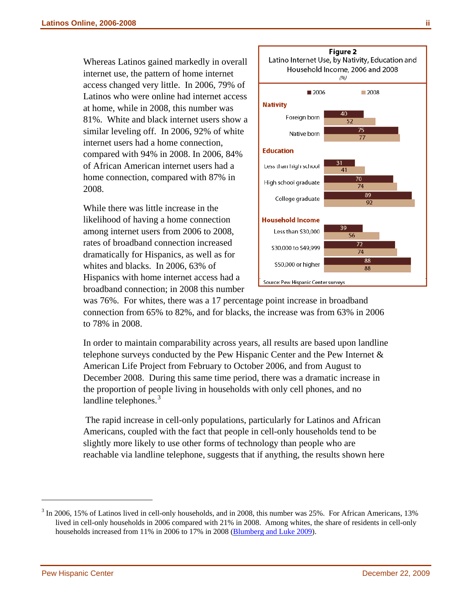Whereas Latinos gained markedly in overall internet use, the pattern of home internet access changed very little. In 2006, 79% of Latinos who were online had internet access at home, while in 2008, this number was 81%. White and black internet users show a similar leveling off. In 2006, 92% of white internet users had a home connection, compared with 94% in 2008. In 2006, 84% of African American internet users had a home connection, compared with 87% in 2008.

While there was little increase in the likelihood of having a home connection among internet users from 2006 to 2008, rates of broadband connection increased dramatically for Hispanics, as well as for whites and blacks. In 2006, 63% of Hispanics with home internet access had a broadband connection; in 2008 this number



was 76%. For whites, there was a 17 percentage point increase in broadband connection from 65% to 82%, and for blacks, the increase was from 63% in 2006 to 78% in 2008.

In order to maintain comparability across years, all results are based upon landline telephone surveys conducted by the Pew Hispanic Center and the Pew Internet & American Life Project from February to October 2006, and from August to December 2008. During this same time period, there was a dramatic increase in the proportion of people living in households with only cell phones, and no landline telephones.<sup>[3](#page-2-0)</sup>

 The rapid increase in cell-only populations, particularly for Latinos and African Americans, coupled with the fact that people in cell-only households tend to be slightly more likely to use other forms of technology than people who are reachable via landline telephone, suggests that if anything, the results shown here

l

<span id="page-2-0"></span> $3 \text{ In } 2006$ , 15% of Latinos lived in cell-only households, and in 2008, this number was 25%. For African Americans, 13% lived in cell-only households in 2006 compared with 21% in 2008. Among whites, the share of residents in cell-only households increased from 11% in 2006 to 17% in 2008 ([Blumberg and Luke 2009\)](http://www.cdc.gov/nchs/data/nhis/earlyrelease/wireless200905.htm).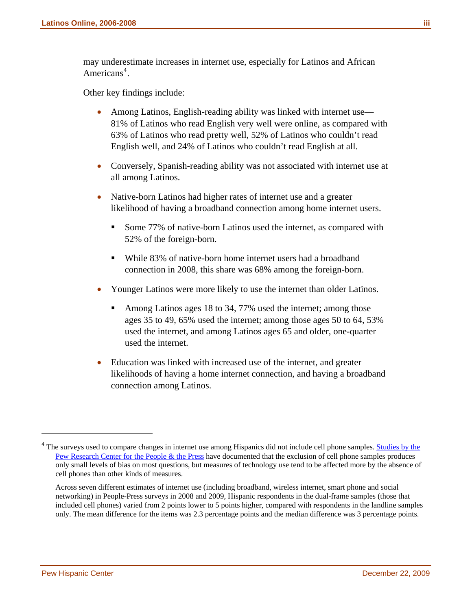may underestimate increases in internet use, especially for Latinos and African Americans<sup>[4](#page-3-0)</sup>.

Other key findings include:

- Among Latinos, English-reading ability was linked with internet use— 81% of Latinos who read English very well were online, as compared with 63% of Latinos who read pretty well, 52% of Latinos who couldn't read English well, and 24% of Latinos who couldn't read English at all.
- Conversely, Spanish-reading ability was not associated with internet use at all among Latinos.
- Native-born Latinos had higher rates of internet use and a greater likelihood of having a broadband connection among home internet users.
	- Some 77% of native-born Latinos used the internet, as compared with 52% of the foreign-born.
	- While 83% of native-born home internet users had a broadband connection in 2008, this share was 68% among the foreign-born.
- Younger Latinos were more likely to use the internet than older Latinos.
	- Among Latinos ages 18 to 34, 77% used the internet; among those ages 35 to 49, 65% used the internet; among those ages 50 to 64, 53% used the internet, and among Latinos ages 65 and older, one-quarter used the internet.
- Education was linked with increased use of the internet, and greater likelihoods of having a home internet connection, and having a broadband connection among Latinos.

 $\overline{a}$ 

<span id="page-3-0"></span><sup>&</sup>lt;sup>4</sup> The surveys used to compare changes in internet use among Hispanics did not include cell phone samples. **Studies by the** [Pew Research Center for the People & the Press](http://people-press.org/methodology/sampling/#2) have documented that the exclusion of cell phone samples produces only small levels of bias on most questions, but measures of technology use tend to be affected more by the absence of cell phones than other kinds of measures.

Across seven different estimates of internet use (including broadband, wireless internet, smart phone and social networking) in People-Press surveys in 2008 and 2009, Hispanic respondents in the dual-frame samples (those that included cell phones) varied from 2 points lower to 5 points higher, compared with respondents in the landline samples only. The mean difference for the items was 2.3 percentage points and the median difference was 3 percentage points.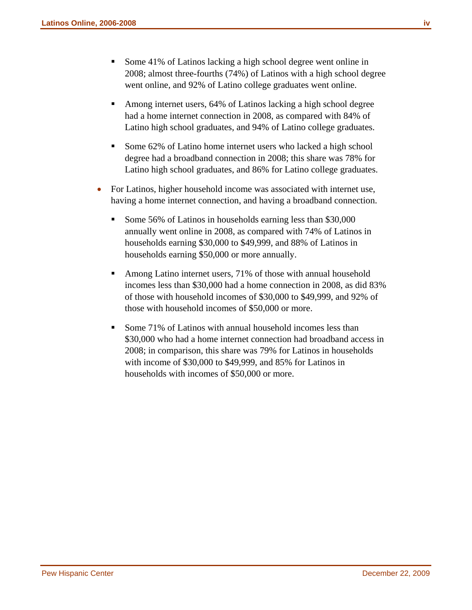- Some 41% of Latinos lacking a high school degree went online in 2008; almost three-fourths (74%) of Latinos with a high school degree went online, and 92% of Latino college graduates went online.
- Among internet users, 64% of Latinos lacking a high school degree had a home internet connection in 2008, as compared with 84% of Latino high school graduates, and 94% of Latino college graduates.
- Some 62% of Latino home internet users who lacked a high school degree had a broadband connection in 2008; this share was 78% for Latino high school graduates, and 86% for Latino college graduates.
- For Latinos, higher household income was associated with internet use, having a home internet connection, and having a broadband connection.
	- Some 56% of Latinos in households earning less than \$30,000 annually went online in 2008, as compared with 74% of Latinos in households earning \$30,000 to \$49,999, and 88% of Latinos in households earning \$50,000 or more annually.
	- Among Latino internet users, 71% of those with annual household incomes less than \$30,000 had a home connection in 2008, as did 83% of those with household incomes of \$30,000 to \$49,999, and 92% of those with household incomes of \$50,000 or more.
	- Some 71% of Latinos with annual household incomes less than \$30,000 who had a home internet connection had broadband access in 2008; in comparison, this share was 79% for Latinos in households with income of \$30,000 to \$49,999, and 85% for Latinos in households with incomes of \$50,000 or more.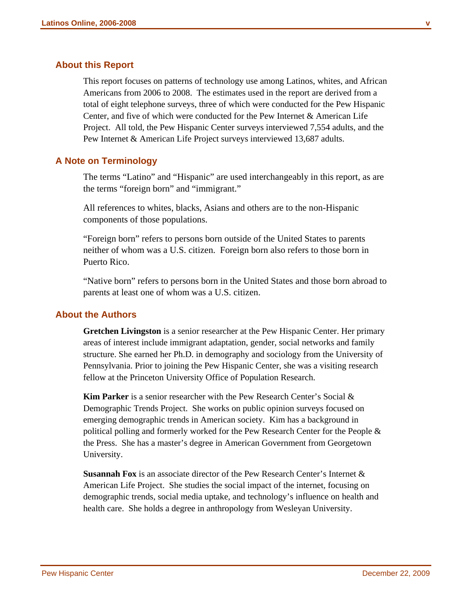#### **About this Report**

This report focuses on patterns of technology use among Latinos, whites, and African Americans from 2006 to 2008. The estimates used in the report are derived from a total of eight telephone surveys, three of which were conducted for the Pew Hispanic Center, and five of which were conducted for the Pew Internet & American Life Project. All told, the Pew Hispanic Center surveys interviewed 7,554 adults, and the Pew Internet & American Life Project surveys interviewed 13,687 adults.

#### **A Note on Terminology**

The terms "Latino" and "Hispanic" are used interchangeably in this report, as are the terms "foreign born" and "immigrant."

All references to whites, blacks, Asians and others are to the non-Hispanic components of those populations.

"Foreign born" refers to persons born outside of the United States to parents neither of whom was a U.S. citizen. Foreign born also refers to those born in Puerto Rico.

"Native born" refers to persons born in the United States and those born abroad to parents at least one of whom was a U.S. citizen.

#### **About the Authors**

**Gretchen Livingston** is a senior researcher at the Pew Hispanic Center. Her primary areas of interest include immigrant adaptation, gender, social networks and family structure. She earned her Ph.D. in demography and sociology from the University of Pennsylvania. Prior to joining the Pew Hispanic Center, she was a visiting research fellow at the Princeton University Office of Population Research.

**Kim Parker** is a senior researcher with the Pew Research Center's Social & Demographic Trends Project. She works on public opinion surveys focused on emerging demographic trends in American society. Kim has a background in political polling and formerly worked for the Pew Research Center for the People & the Press. She has a master's degree in American Government from Georgetown University.

**Susannah Fox** is an associate director of the Pew Research Center's Internet & American Life Project. She studies the social impact of the internet, focusing on demographic trends, social media uptake, and technology's influence on health and health care. She holds a degree in anthropology from Wesleyan University.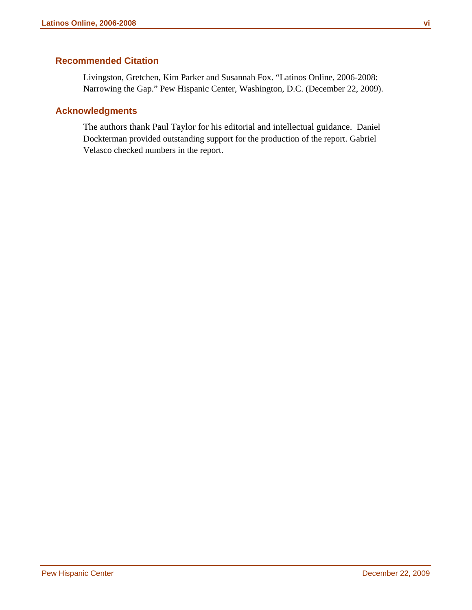### **Recommended Citation**

Livingston, Gretchen, Kim Parker and Susannah Fox. "Latinos Online, 2006-2008: Narrowing the Gap." Pew Hispanic Center, Washington, D.C. (December 22, 2009).

### **Acknowledgments**

The authors thank Paul Taylor for his editorial and intellectual guidance. Daniel Dockterman provided outstanding support for the production of the report. Gabriel Velasco checked numbers in the report.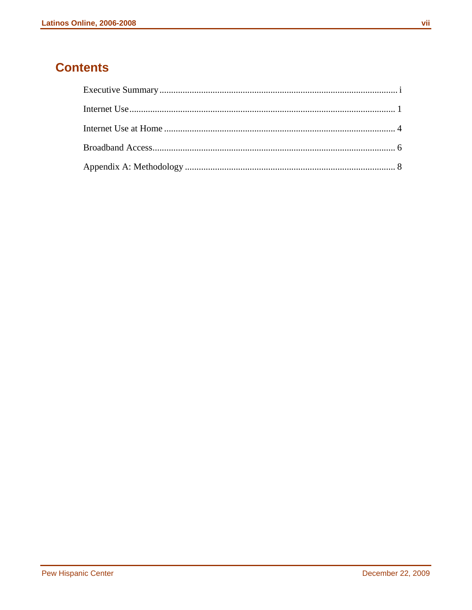### **Contents**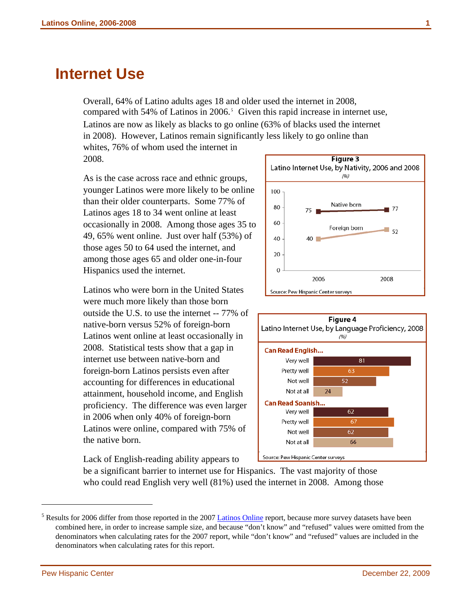### <span id="page-8-0"></span>**Internet Use**

Overall, 64% of Latino adults ages 18 and older used the internet in 2008, compared with [5](#page-8-1)4% of Latinos in  $2006$ <sup>5</sup> Given this rapid increase in internet use, Latinos are now as likely as blacks to go online (63% of blacks used the internet in 2008). However, Latinos remain significantly less likely to go online than whites, 76% of whom used the internet in 2008.

As is the case across race and ethnic groups, younger Latinos were more likely to be online than their older counterparts. Some 77% of Latinos ages 18 to 34 went online at least occasionally in 2008. Among those ages 35 to 49, 65% went online. Just over half (53%) of those ages 50 to 64 used the internet, and among those ages 65 and older one-in-four Hispanics used the internet.

Latinos who were born in the United States were much more likely than those born outside the U.S. to use the internet -- 77% of native-born versus 52% of foreign-born Latinos went online at least occasionally in 2008. Statistical tests show that a gap in internet use between native-born and foreign-born Latinos persists even after accounting for differences in educational attainment, household income, and English proficiency. The difference was even larger in 2006 when only 40% of foreign-born Latinos were online, compared with 75% of the native born.

Lack of English-reading ability appears to





be a significant barrier to internet use for Hispanics. The vast majority of those who could read English very well (81%) used the internet in 2008. Among those

l

<span id="page-8-1"></span><sup>&</sup>lt;sup>5</sup> Results for 2006 differ from those reported in the 2007 [Latinos Online](http://pewhispanic.org/reports/report.php?ReportID=73) report, because more survey datasets have been combined here, in order to increase sample size, and because "don't know" and "refused" values were omitted from the denominators when calculating rates for the 2007 report, while "don't know" and "refused" values are included in the denominators when calculating rates for this report.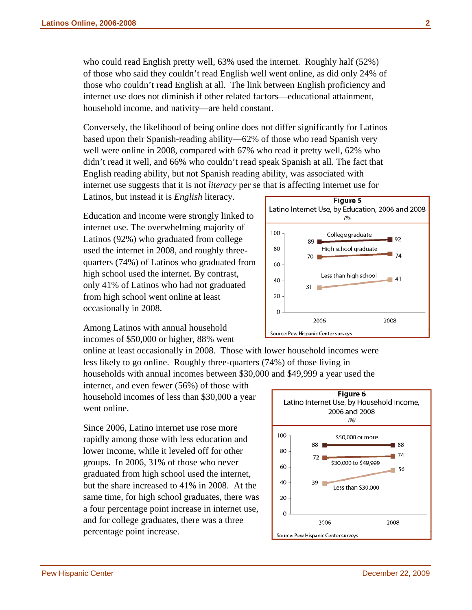who could read English pretty well, 63% used the internet. Roughly half (52%) of those who said they couldn't read English well went online, as did only 24% of those who couldn't read English at all. The link between English proficiency and internet use does not diminish if other related factors—educational attainment, household income, and nativity—are held constant.

Conversely, the likelihood of being online does not differ significantly for Latinos based upon their Spanish-reading ability—62% of those who read Spanish very well were online in 2008, compared with 67% who read it pretty well, 62% who didn't read it well, and 66% who couldn't read speak Spanish at all. The fact that English reading ability, but not Spanish reading ability, was associated with internet use suggests that it is not *literacy* per se that is affecting internet use for

Latinos, but instead it is *English* literacy.

Education and income were strongly linked to internet use. The overwhelming majority of Latinos (92%) who graduated from college used the internet in 2008, and roughly threequarters (74%) of Latinos who graduated from high school used the internet. By contrast, only 41% of Latinos who had not graduated from high school went online at least occasionally in 2008.

Among Latinos with annual household incomes of \$50,000 or higher, 88% went

online at least occasionally in 2008. Those with lower household incomes were less likely to go online. Roughly three-quarters (74%) of those living in households with annual incomes between \$30,000 and \$49,999 a year used the

internet, and even fewer (56%) of those with household incomes of less than \$30,000 a year went online.

Since 2006, Latino internet use rose more rapidly among those with less education and lower income, while it leveled off for other groups. In 2006, 31% of those who never graduated from high school used the internet, but the share increased to 41% in 2008. At the same time, for high school graduates, there was a four percentage point increase in internet use, and for college graduates, there was a three percentage point increase.



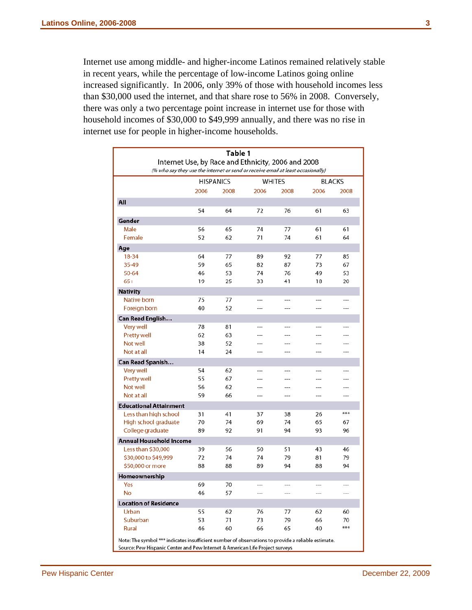Internet use among middle- and higher-income Latinos remained relatively stable in recent years, while the percentage of low-income Latinos going online increased significantly. In 2006, only 39% of those with household incomes less than \$30,000 used the internet, and that share rose to 56% in 2008. Conversely, there was only a two percentage point increase in internet use for those with household incomes of \$30,000 to \$49,999 annually, and there was no rise in internet use for people in higher-income households.

| Table 1<br>Internet Use, by Race and Ethnicity, 2006 and 2008                                                                                                                      |                  |      |      |         |      |                |
|------------------------------------------------------------------------------------------------------------------------------------------------------------------------------------|------------------|------|------|---------|------|----------------|
| (% who say they use the internet or send or receive email at least occasionally)                                                                                                   |                  |      |      |         |      |                |
|                                                                                                                                                                                    | <b>HISPANICS</b> |      |      | WHITES  |      | <b>BLACKS</b>  |
|                                                                                                                                                                                    | 2006             | 2008 | 2006 | 2008    | 2006 | 2008           |
| All                                                                                                                                                                                |                  |      |      |         |      |                |
|                                                                                                                                                                                    | 54               | 64   | 72   | 76      | 61   | 63             |
| Gender                                                                                                                                                                             |                  |      |      |         |      |                |
| Male                                                                                                                                                                               | 56               | 65   | 74   | 77      | 61   | 61             |
| Female                                                                                                                                                                             | 52               | 62   | 71   | 74      | 61   | 64             |
| Age                                                                                                                                                                                |                  |      |      |         |      |                |
| 18-34                                                                                                                                                                              | 64               | 77   | 89   | 92      | 77   | 85             |
| 35-49                                                                                                                                                                              | 59               | 65   | 82   | 87      | 73   | 67             |
| 50-64                                                                                                                                                                              | 46               | 53   | 74   | 76      | 49   | 53             |
| $65+$                                                                                                                                                                              | 19               | 25   | 33   | 41      | 18   | 20             |
| <b>Nativity</b>                                                                                                                                                                    |                  |      |      |         |      |                |
| Native born                                                                                                                                                                        | 75               | 77   |      |         |      |                |
| Foreign born                                                                                                                                                                       | 40               | 52   | ---  | $---$   | ---  | ---            |
| Can Read English                                                                                                                                                                   |                  |      |      |         |      |                |
| Very well                                                                                                                                                                          | 78               | 81   | ---  | ---     | ---  |                |
| <b>Pretty well</b>                                                                                                                                                                 | 62               | 63   |      |         |      |                |
| Not well                                                                                                                                                                           | 38               | 52   |      |         |      |                |
| Not at all                                                                                                                                                                         | 14               | 24   | ---  | ---     |      |                |
| Can Read Spanish                                                                                                                                                                   |                  |      |      |         |      |                |
| Very well                                                                                                                                                                          | 54               | 62   | ---  | $- -$   |      |                |
| Pretty well                                                                                                                                                                        | 55               | 67   |      | ---     |      |                |
| Not well                                                                                                                                                                           | 56               | 62   | ---  | ---     | ---  |                |
| Not at all                                                                                                                                                                         | 59               | 66   | ---  | ---     | ---  |                |
| <b>Educational Attainment</b>                                                                                                                                                      |                  |      |      |         |      |                |
| Less than high school                                                                                                                                                              | 31               | 41   | 37   | 38      | 26   | ***            |
| High school graduate                                                                                                                                                               | 70               | 74   | 69   | 74      | 65   | 67             |
| College graduate                                                                                                                                                                   | 89               | 92   | 91   | 94      | 93   | 96             |
| <b>Annual Household Income</b>                                                                                                                                                     |                  |      |      |         |      |                |
| Less than \$30,000                                                                                                                                                                 | 39               | 56   | 50   | 51      | 43   | 46             |
| \$30,000 to \$49,999                                                                                                                                                               | 72               | 74   | 74   | 79      | 81   | 79             |
| \$50,000 or more                                                                                                                                                                   | 88               | 88   | 89   | 94      | 88   | 94             |
| Homeownership                                                                                                                                                                      |                  |      |      |         |      |                |
| Yes                                                                                                                                                                                | 69               | 70   |      |         |      |                |
| No                                                                                                                                                                                 | 46               | 57   | ---  | $- - -$ | ---  | $\overline{a}$ |
| <b>Location of Residence</b>                                                                                                                                                       |                  |      |      |         |      |                |
| Urban                                                                                                                                                                              | 55               | 62   | 76   | 77      | 62   | 60             |
| Suburban                                                                                                                                                                           | 53               | 71   | 73   | 79      | 66   | 70             |
| Rural                                                                                                                                                                              | 46               | 60   | 66   | 65      | 40   | ***            |
| Note: The symbol *** indicates insufficient number of observations to provide a reliable estimate.<br>Source: Pew Hispanic Center and Pew Internet & American Life Project surveys |                  |      |      |         |      |                |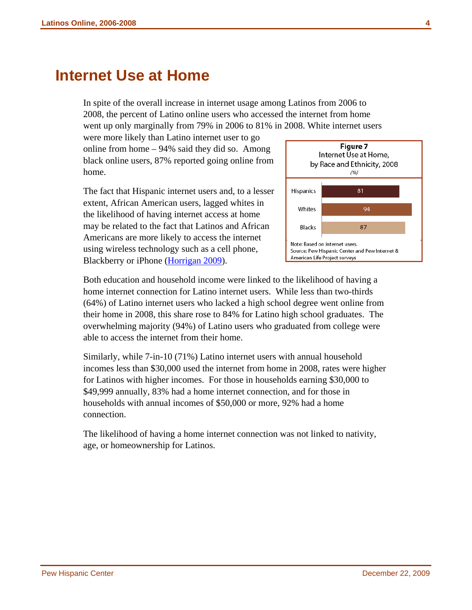### <span id="page-11-0"></span>**Internet Use at Home**

In spite of the overall increase in internet usage among Latinos from 2006 to 2008, the percent of Latino online users who accessed the internet from home went up only marginally from 79% in 2006 to 81% in 2008. White internet users

were more likely than Latino internet user to go online from home – 94% said they did so. Among black online users, 87% reported going online from home.

The fact that Hispanic internet users and, to a lesser extent, African American users, lagged whites in the likelihood of having internet access at home may be related to the fact that Latinos and African Americans are more likely to access the internet using wireless technology such as a cell phone, Blackberry or iPhone ([Horrigan 2009\)](http://www.pewinternet.org/Reports/2009/12-Wireless-Internet-Use.aspx).



Both education and household income were linked to the likelihood of having a home internet connection for Latino internet users. While less than two-thirds (64%) of Latino internet users who lacked a high school degree went online from their home in 2008, this share rose to 84% for Latino high school graduates. The overwhelming majority (94%) of Latino users who graduated from college were able to access the internet from their home.

Similarly, while 7-in-10 (71%) Latino internet users with annual household incomes less than \$30,000 used the internet from home in 2008, rates were higher for Latinos with higher incomes. For those in households earning \$30,000 to \$49,999 annually, 83% had a home internet connection, and for those in households with annual incomes of \$50,000 or more, 92% had a home connection.

The likelihood of having a home internet connection was not linked to nativity, age, or homeownership for Latinos.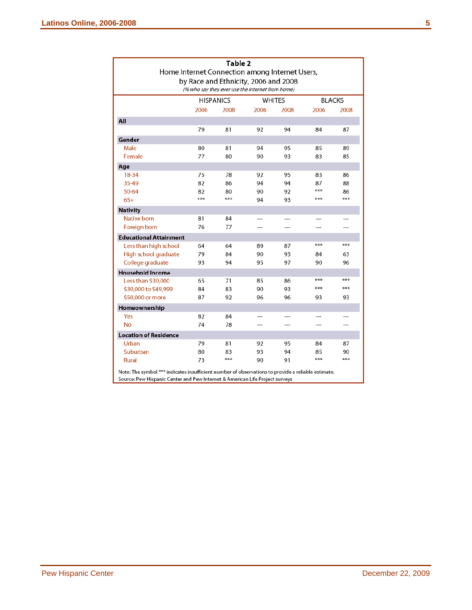| Table 2<br>Home Internet Connection among Internet Users,<br>by Race and Ethnicity, 2006 and 2008<br>(% who say they ever use the internet from home) |                                                    |      |       |      |      |       |
|-------------------------------------------------------------------------------------------------------------------------------------------------------|----------------------------------------------------|------|-------|------|------|-------|
|                                                                                                                                                       | <b>WHITES</b><br><b>BLACKS</b><br><b>HISPANICS</b> |      |       |      |      |       |
|                                                                                                                                                       | 2006                                               | 2008 | 2006  | 2008 | 2006 | 2008  |
| All                                                                                                                                                   |                                                    |      |       |      |      |       |
|                                                                                                                                                       | 79                                                 | 81   | 92    | 94   | 84   | 87    |
| Gender                                                                                                                                                |                                                    |      |       |      |      |       |
| Male                                                                                                                                                  | 80                                                 | 81   | 94    | 95   | 85   | 89    |
| Female                                                                                                                                                | 77                                                 | 80   | 90    | 93   | 83   | 85    |
| Age                                                                                                                                                   |                                                    |      |       |      |      |       |
| 18-34                                                                                                                                                 | 75                                                 | 78   | 92    | 95   | 83   | 86    |
| 35-49                                                                                                                                                 | 82                                                 | 86   | 94    | 94   | 87   | 88    |
| 50-64                                                                                                                                                 | 82                                                 | 80   | 90    | 92   | ***  | 86    |
| $65+$                                                                                                                                                 | ***                                                | ***  | 94    | 93   | ***  | ***   |
| <b>Nativity</b>                                                                                                                                       |                                                    |      |       |      |      |       |
| Native born                                                                                                                                           | 81                                                 | 84   | $---$ | ---  |      |       |
| Foreign born                                                                                                                                          | 76                                                 | 77   | ---   | ---  |      |       |
| <b>Educational Attainment</b>                                                                                                                         |                                                    |      |       |      |      |       |
| Less than high school                                                                                                                                 | 64                                                 | 64   | 89    | 87   | ***  | ***   |
| High school graduate                                                                                                                                  | 79                                                 | 84   | 90    | 93   | 84   | 63    |
| College graduate                                                                                                                                      | 93                                                 | 94   | 95    | 97   | 90   | 96    |
| <b>Household Income</b>                                                                                                                               |                                                    |      |       |      |      |       |
| Less than \$30,000                                                                                                                                    | 65                                                 | 71   | 85    | 86   | ***  | ***   |
| \$30,000 to \$49,999                                                                                                                                  | 84                                                 | 83   | 90    | 93   | ***  | ***   |
| \$50,000 or more                                                                                                                                      | 87                                                 | 92   | 96    | 96   | 93   | 93    |
| Homeownership                                                                                                                                         |                                                    |      |       |      |      |       |
| Yes                                                                                                                                                   | 82                                                 | 84   |       | ---  |      |       |
| <b>No</b>                                                                                                                                             | 74                                                 | 78   | ---   | ---  | ---  | $---$ |
| <b>Location of Residence</b>                                                                                                                          |                                                    |      |       |      |      |       |
| Urban                                                                                                                                                 | 79                                                 | 81   | 92    | 95   | 84   | 87    |
| Suburban                                                                                                                                              | 80                                                 | 83   | 93    | 94   | 85   | 90    |
| <b>Rural</b>                                                                                                                                          | 73                                                 | ***  | 90    | 91   | ***  | ***   |

Source: Pew Hispanic Center and Pew Internet & American Life Project surveys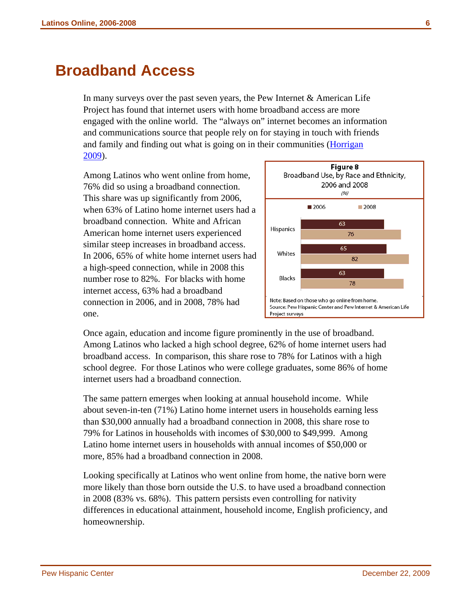## <span id="page-13-0"></span>**Broadband Access**

In many surveys over the past seven years, the Pew Internet  $&$  American Life Project has found that internet users with home broadband access are more engaged with the online world. The "always on" internet becomes an information and communications source that people rely on for staying in touch with friends and family and finding out what is going on in their communities ([Horrigan](http://www.pewinternet.org/Reports/2009/10-Home-Broadband-Adoption-2009.aspx)  [2009\).](http://www.pewinternet.org/Reports/2009/10-Home-Broadband-Adoption-2009.aspx) 

Among Latinos who went online from home, 76% did so using a broadband connection. This share was up significantly from 2006, when 63% of Latino home internet users had a broadband connection. White and African American home internet users experienced similar steep increases in broadband access. In 2006, 65% of white home internet users had a high-speed connection, while in 2008 this number rose to 82%. For blacks with home internet access, 63% had a broadband connection in 2006, and in 2008, 78% had one.



Once again, education and income figure prominently in the use of broadband. Among Latinos who lacked a high school degree, 62% of home internet users had broadband access. In comparison, this share rose to 78% for Latinos with a high school degree. For those Latinos who were college graduates, some 86% of home internet users had a broadband connection.

The same pattern emerges when looking at annual household income. While about seven-in-ten (71%) Latino home internet users in households earning less than \$30,000 annually had a broadband connection in 2008, this share rose to 79% for Latinos in households with incomes of \$30,000 to \$49,999. Among Latino home internet users in households with annual incomes of \$50,000 or more, 85% had a broadband connection in 2008.

Looking specifically at Latinos who went online from home, the native born were more likely than those born outside the U.S. to have used a broadband connection in 2008 (83% vs. 68%). This pattern persists even controlling for nativity differences in educational attainment, household income, English proficiency, and homeownership.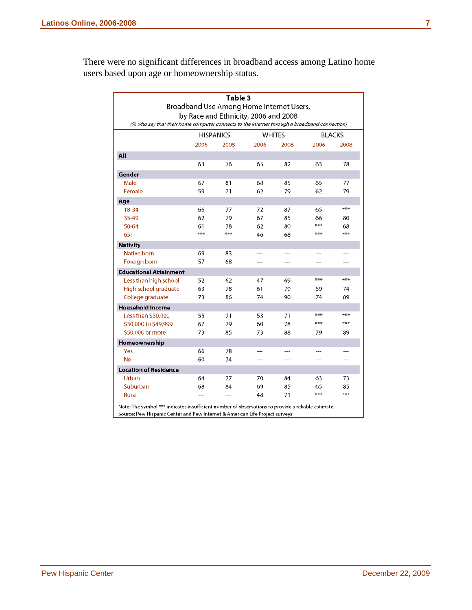There were no significant differences in broadband access among Latino home users based upon age or homeownership status.

| Table 3<br>Broadband Use Among Home Internet Users,                                                |      |                                   |      |        |               |           |
|----------------------------------------------------------------------------------------------------|------|-----------------------------------|------|--------|---------------|-----------|
| by Race and Ethnicity, 2006 and 2008                                                               |      |                                   |      |        |               |           |
| (% who say that their home computer connects to the internet through a broadband connection)       |      |                                   |      |        |               |           |
|                                                                                                    |      | <b>HISPANICS</b><br><b>WHITES</b> |      |        | <b>BLACKS</b> |           |
|                                                                                                    | 2006 | 2008                              | 2006 | 2008   | 2006          | 2008      |
| All                                                                                                |      |                                   |      |        |               |           |
|                                                                                                    | 63   | 76                                | 65   | 82     | 63            | 78        |
| Gender                                                                                             |      |                                   |      |        |               |           |
| Male                                                                                               | 67   | 81                                | 68   | 85     | 65            | 77        |
| Female                                                                                             | 59   | 71                                | 62   | 79     | 62            | 79        |
| Age                                                                                                |      |                                   |      |        |               |           |
| 18-34                                                                                              | 66   | 77                                | 72   | 87     | 65            | ***       |
| 35-49                                                                                              | 62   | 79                                | 67   | 85     | 66            | 80        |
| 50-64                                                                                              | 61   | 78                                | 62   | 80     | ***           | 68        |
| $65+$                                                                                              | ***  | ***                               | 46   | 68     | ***           | ***       |
| <b>Nativity</b>                                                                                    |      |                                   |      |        |               |           |
| Native born                                                                                        | 69   | 83                                | ---  | $\sim$ |               | ---       |
| Foreign born                                                                                       | 57   | 68                                | ---  | ---    |               | ---       |
| <b>Educational Attainment</b>                                                                      |      |                                   |      |        |               |           |
| Less than high school                                                                              | 52   | 62                                | 47   | 69     | ***           | ***       |
| High school graduate                                                                               | 63   | 78                                | 61   | 79     | 59            | 74        |
| College graduate                                                                                   | 73   | 86                                | 74   | 90     | 74            | 89        |
| <b>Household Income</b>                                                                            |      |                                   |      |        |               |           |
| Less than \$30,000                                                                                 | 55   | 71                                | 53   | 71     | ***           | ***       |
| \$30,000 to \$49,999                                                                               | 67   | 79                                | 60   | 78     | ***           | ***       |
| \$50,000 or more                                                                                   | 73   | 85                                | 73   | 88     | 79            | 89        |
| Homeownership                                                                                      |      |                                   |      |        |               |           |
| Yes                                                                                                | 66   | 78                                |      |        |               |           |
| No                                                                                                 | 60   | 74                                | ---  | ---    | ---           | $---$     |
| <b>Location of Residence</b>                                                                       |      |                                   |      |        |               |           |
| Urban                                                                                              | 64   | 77                                | 70   | 84     | 63            | 73        |
| Suburban                                                                                           | 68   | 84                                | 69   | 85     | 65<br>***     | 85<br>*** |
| Rural                                                                                              | ---  | $---$                             | 48   | 71     |               |           |
| Note: The symbol *** indicates insufficient number of observations to provide a reliable estimate. |      |                                   |      |        |               |           |
| Source: Pew Hispanic Center and Pew Internet & American Life Project surveys                       |      |                                   |      |        |               |           |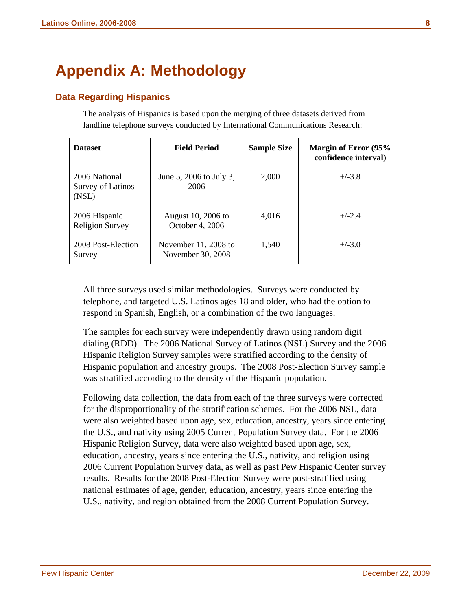# <span id="page-15-0"></span>**Appendix A: Methodology**

### **Data Regarding Hispanics**

The analysis of Hispanics is based upon the merging of three datasets derived from landline telephone surveys conducted by International Communications Research:

| <b>Dataset</b>                              | <b>Field Period</b>                       | <b>Sample Size</b> | Margin of Error (95%<br>confidence interval) |
|---------------------------------------------|-------------------------------------------|--------------------|----------------------------------------------|
| 2006 National<br>Survey of Latinos<br>(NSL) | June 5, 2006 to July 3,<br>2006           | 2,000              | $+/-3.8$                                     |
| 2006 Hispanic<br><b>Religion Survey</b>     | August 10, 2006 to<br>October 4, 2006     | 4.016              | $+/-2.4$                                     |
| 2008 Post-Election<br>Survey                | November 11, 2008 to<br>November 30, 2008 | 1.540              | $+/-3.0$                                     |

All three surveys used similar methodologies. Surveys were conducted by telephone, and targeted U.S. Latinos ages 18 and older, who had the option to respond in Spanish, English, or a combination of the two languages.

The samples for each survey were independently drawn using random digit dialing (RDD). The 2006 National Survey of Latinos (NSL) Survey and the 2006 Hispanic Religion Survey samples were stratified according to the density of Hispanic population and ancestry groups. The 2008 Post-Election Survey sample was stratified according to the density of the Hispanic population.

Following data collection, the data from each of the three surveys were corrected for the disproportionality of the stratification schemes. For the 2006 NSL, data were also weighted based upon age, sex, education, ancestry, years since entering the U.S., and nativity using 2005 Current Population Survey data. For the 2006 Hispanic Religion Survey, data were also weighted based upon age, sex, education, ancestry, years since entering the U.S., nativity, and religion using 2006 Current Population Survey data, as well as past Pew Hispanic Center survey results. Results for the 2008 Post-Election Survey were post-stratified using national estimates of age, gender, education, ancestry, years since entering the U.S., nativity, and region obtained from the 2008 Current Population Survey.